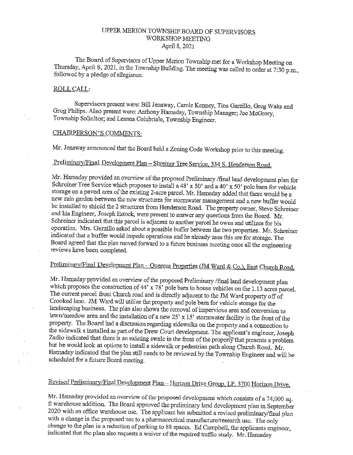### tJPPER MERION TOWNSHIP BOARD OF SUPERVISORS WORKSHOP MEETING April 8, 2021

The Board of Supervisors of Upper Merion Township met for <sup>a</sup> Workshop Meeting on Thursday, April 8, 2021, in the Township Building. The meeting was called to order at 7:30 p.m., followed by a pledge of allegiance.

#### ROLL CALL:

Supervisors present were: Bill Jenaway, Carole Kenney, Tina Garzillo, Greg Waks and Greg Pbilips. Also present were: Anthony Hamaday, Township Manager; Joe McGrory, Township Solicitor; and Leanna Colubriale, Township Engineer.

### CHAIRPERSON'S COMMENTS:

Mr. Jenaway announced that the Board held a Zoning Code Workshop prior to this meeting.

### Preliminary/Final Development Plan - Shreiner Tree Service, 334 S. Henderson Road.

Mr. Hamaday provided an overview of the proposed Preliminary /final land development plan for Schreiner Tree Service which proposes to install a 48' x 50' and a 40' x 50' pole barn for vehicle storage on <sup>a</sup> paved area of the existing 2-acre parcel. Mr. Hamaday added that there would be <sup>a</sup> new rain garden between the new structures for stormwater management and <sup>a</sup> new buffer would be installed to shield the <sup>2</sup> structures from Henderson Road. The property owner, Steve Schreiner and his Engineer, Joseph Estock, were present to answer any questions from the Board. Mr. Schreiner indicated that this parcel is adjacent to another parcel he owns and utilizes for his operation. Mrs. Garzillo asked about <sup>a</sup> possible buffer between the two properties. Mr. Schreiner indicated that <sup>a</sup> buffer would impede operations and he already uses this are for storage. The Board agreed that the plan moved forward to <sup>a</sup> future business meeting once all the engineering reviews have been completed.

# Preliminary/Final Development Plan - Quercus Properties (JM Ward & Co.), East Church Road.

Mr. Hamaday provided an overview of the proposed Preliminary /final land development plan which proposes the construction of 44' x 78' pole barn to house vehicles on the 1.13 acres parcel. The current parcel front Church road and is directly adjacent to the JM Ward property off of Crooked lane. JM Ward will utilize the property and pole barn for vehicle storage for the landscaping business. The plan also shows the removal of impervious area and conversion to lawn/meadow area and the installation of <sup>a</sup> new 25' <sup>x</sup> 15' stormwater facility in the front of the property. The Board had a discussion regarding sidewalks on the property and a connection to the sidewalk s installed as part of the Drew Court development. The applicant's engineer, Joseph Zadlo indicated that there is an existing swale in the front of the property that presents a problem but he would look at options to install <sup>a</sup> sidewalk or pedestrian path along Church Road. Mr. Hamaday indicated that the plan still needs to be reviewed by the Township Engineer and will be scheduled for a future Board meeting.

# Revised Preliminary/Final Development Plan - Horizon Drive Group, LP, 3700 Horizon Drive.

Mr, Hamaday provided an overview of the proposed development which consists of <sup>a</sup> 74,000 sq. ft warehouse addition. The Board approved the preliminary land development plan in September <sup>2020</sup> with an office warehouse use. The applicant has submitted <sup>a</sup> revised preliminary/final plan with <sup>a</sup> change in the proposed use to <sup>a</sup> pharmaceutical manufacture/research use. The only change to the plan is a reduction of parking to 88 spaces. Ed Campbell, the applicants engineer, indicated that the plan also requests <sup>a</sup> waiver of the required traffic study. Mr. Hamaday